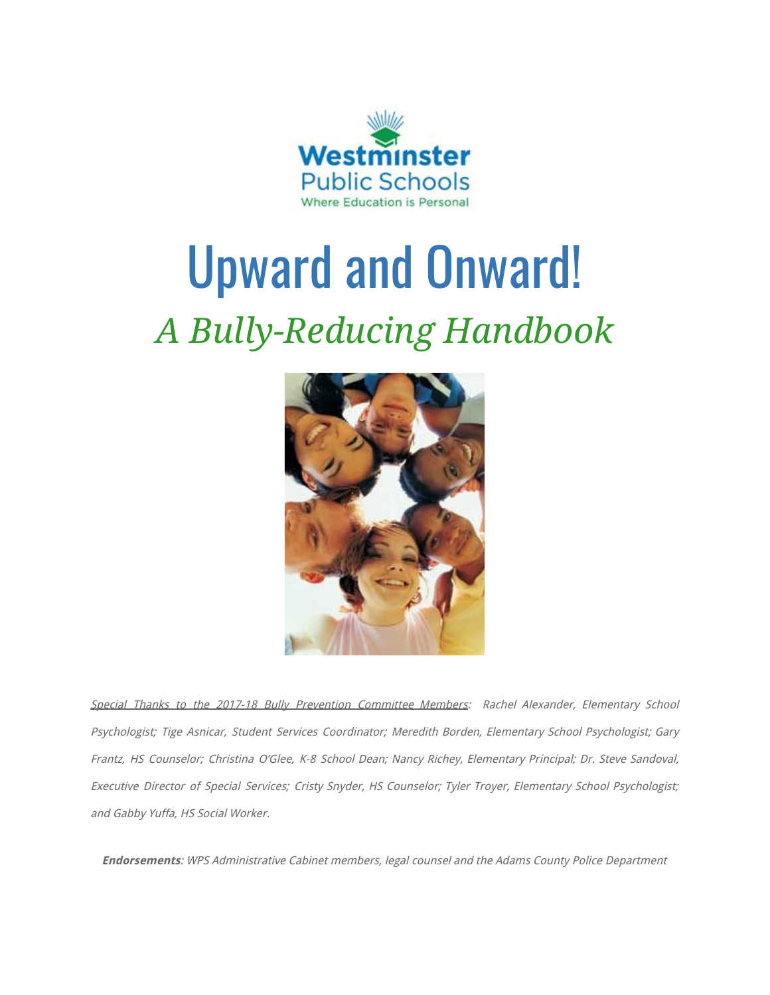

# Upward and Onward! *A Bully-Reducing Handbook*



Special Thanks to the 2017-18 Bully Prevention Committee Members: Rachel Alexander, Elementary School Psychologist; Tige Asnicar, Student Services Coordinator; Meredith Borden, Elementary School Psychologist; Gary Frantz, HS Counselor; Christina O'Glee, K-8 School Dean; Nancy Richey, Elementary Principal; Dr. Steve Sandoval, Executive Director of Special Services; Cristy Snyder, HS Counselor; Tyler Troyer, Elementary School Psychologist; and Gabby Yuffa, HS Social Worker.

**Endorsements**: WPS Administrative Cabinet members, legal counsel and the Adams County Police Department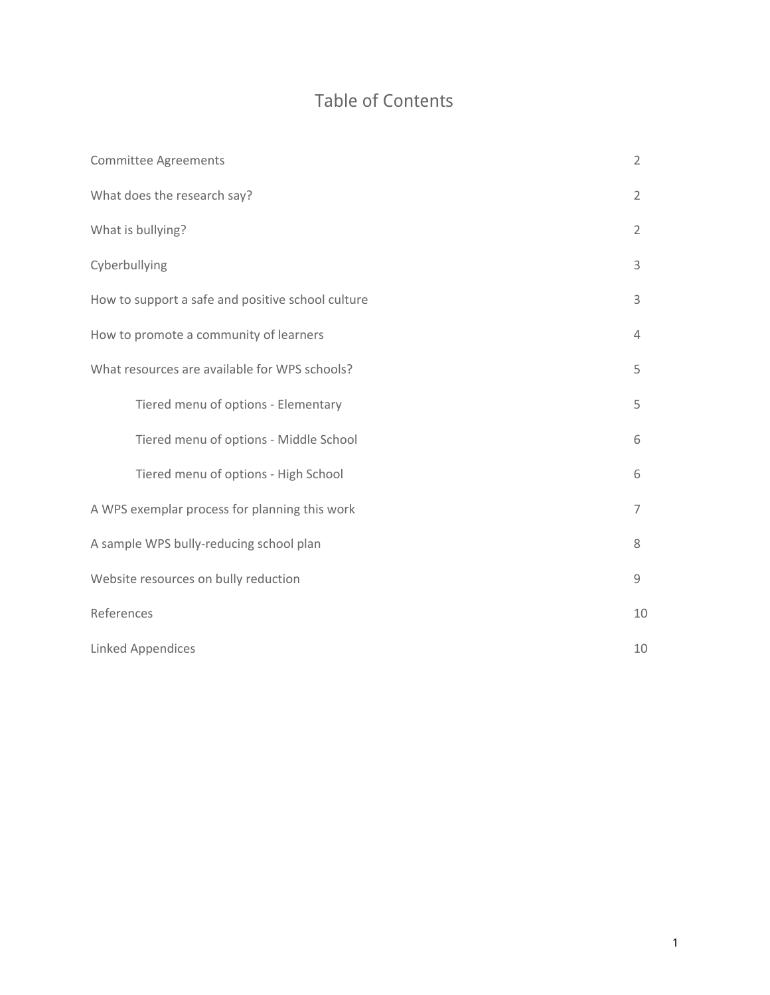# Table of Contents

| <b>Committee Agreements</b>                       |                |
|---------------------------------------------------|----------------|
| What does the research say?                       | $\overline{2}$ |
| What is bullying?                                 | $\overline{2}$ |
| Cyberbullying                                     | 3              |
| How to support a safe and positive school culture | 3              |
| How to promote a community of learners            | 4              |
| What resources are available for WPS schools?     | 5              |
| Tiered menu of options - Elementary               | 5              |
| Tiered menu of options - Middle School            | 6              |
| Tiered menu of options - High School              | 6              |
| A WPS exemplar process for planning this work     | $\overline{7}$ |
| A sample WPS bully-reducing school plan           |                |
| Website resources on bully reduction              |                |
| References                                        | 10             |
| <b>Linked Appendices</b>                          |                |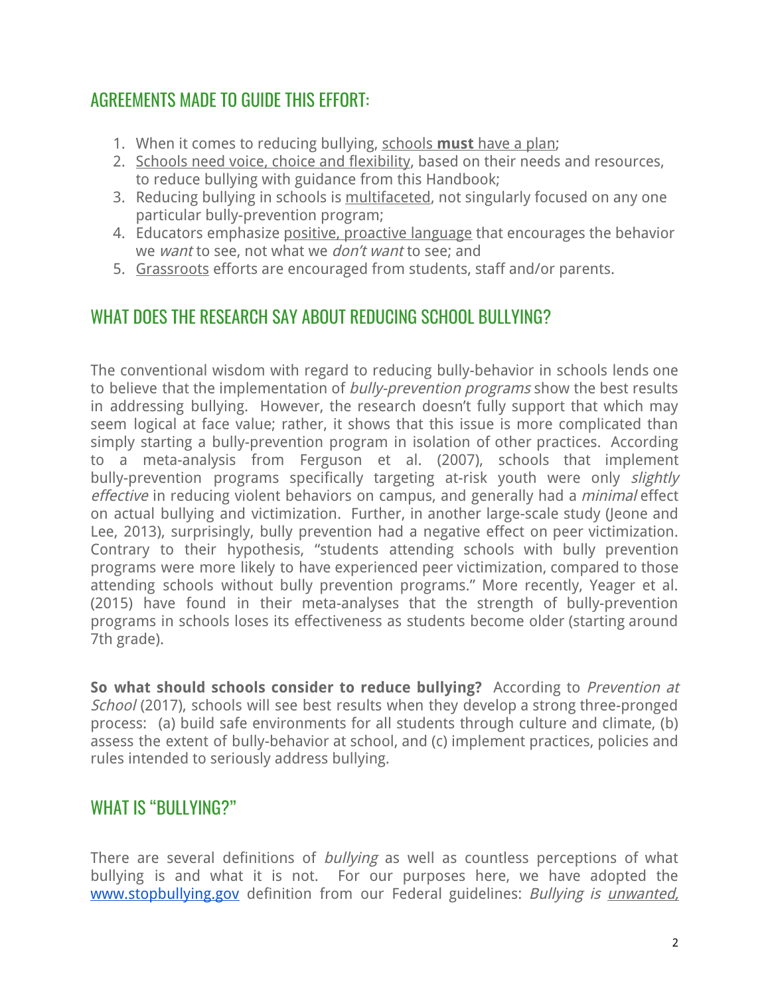# AGREEMENTS MADE TO GUIDE THIS EFFORT:

- 1. When it comes to reducing bullying, schools **must** have a plan;
- 2. Schools need voice, choice and flexibility, based on their needs and resources, to reduce bullying with guidance from this Handbook;
- 3. Reducing bullying in schools is multifaceted, not singularly focused on any one particular bully-prevention program;
- 4. Educators emphasize positive, proactive language that encourages the behavior we want to see, not what we *don't want* to see; and
- 5. Grassroots efforts are encouraged from students, staff and/or parents.

# WHAT DOES THE RESEARCH SAY ABOUT REDUCING SCHOOL BULLYING?

The conventional wisdom with regard to reducing bully-behavior in schools lends one to believe that the implementation of *bully-prevention programs* show the best results in addressing bullying. However, the research doesn't fully support that which may seem logical at face value; rather, it shows that this issue is more complicated than simply starting a bully-prevention program in isolation of other practices. According to a meta-analysis from Ferguson et al. (2007), schools that implement bully-prevention programs specifically targeting at-risk youth were only *slightly* effective in reducing violent behaviors on campus, and generally had a *minimal* effect on actual bullying and victimization. Further, in another large-scale study (Jeone and Lee, 2013), surprisingly, bully prevention had a negative effect on peer victimization. Contrary to their hypothesis, "students attending schools with bully prevention programs were more likely to have experienced peer victimization, compared to those attending schools without bully prevention programs." More recently, Yeager et al. (2015) have found in their meta-analyses that the strength of bully-prevention programs in schools loses its effectiveness as students become older (starting around 7th grade).

**So what should schools consider to reduce bullying?** According to Prevention at School (2017), schools will see best results when they develop a strong three-pronged process: (a) build safe environments for all students through culture and climate, (b) assess the extent of bully-behavior at school, and (c) implement practices, policies and rules intended to seriously address bullying.

## WHAT IS "BULLYING?"

There are several definitions of *bullying* as well as countless perceptions of what bullying is and what it is not. For our purposes here, we have adopted the [www.stopbullying.gov](http://www.stopbullying.gov/) definition from our Federal guidelines: Bullying is unwanted,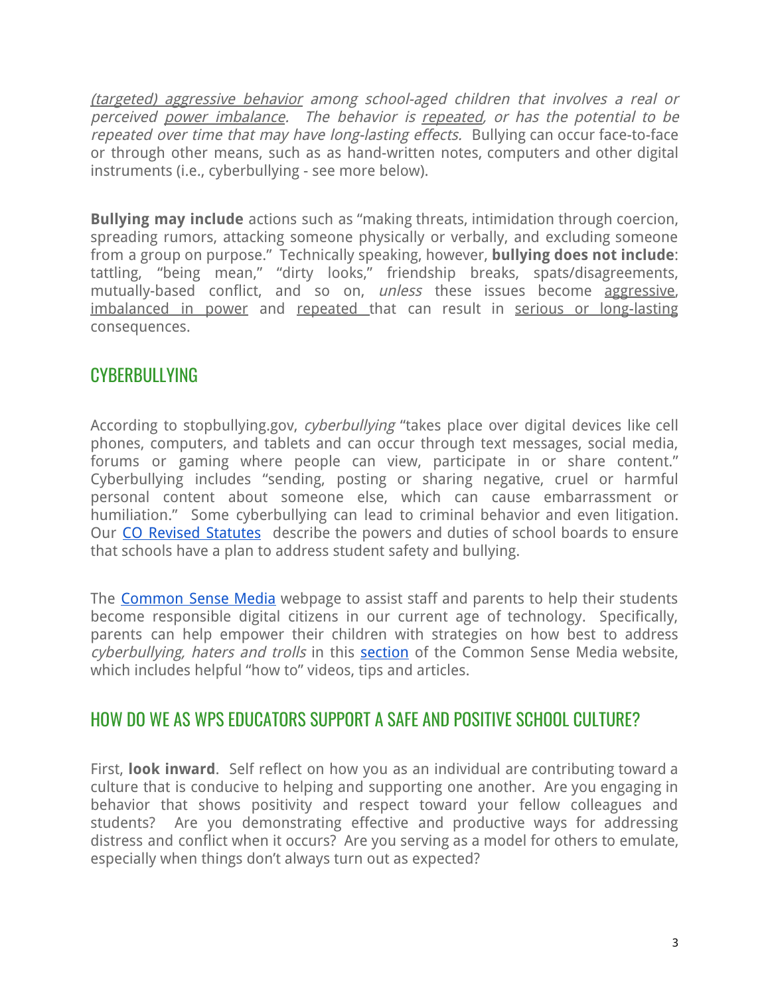(targeted) aggressive behavior among school-aged children that involves <sup>a</sup> real or perceived power imbalance. The behavior is repeated, or has the potential to be repeated over time that may have long-lasting effects. Bullying can occur face-to-face or through other means, such as as hand-written notes, computers and other digital instruments (i.e., cyberbullying - see more below).

**Bullying may include** actions such as "making threats, intimidation through coercion, spreading rumors, attacking someone physically or verbally, and excluding someone from a group on purpose." Technically speaking, however, **bullying does not include**: tattling, "being mean," "dirty looks," friendship breaks, spats/disagreements, mutually-based conflict, and so on, unless these issues become aggressive, imbalanced in power and repeated that can result in serious or long-lasting consequences.

## **CYBERBULLYING**

According to stopbullying.gov, cyberbullying "takes place over digital devices like cell phones, computers, and tablets and can occur through text messages, social media, forums or gaming where people can view, participate in or share content." Cyberbullying includes "sending, posting or sharing negative, cruel or harmful personal content about someone else, which can cause embarrassment or humiliation." Some cyberbullying can lead to criminal behavior and even litigation. Our CO Revised [Statutes](http://www.lexisnexis.com/hottopics/colorado/?app=00075&view=full&interface=1&docinfo=off&searchtype=get&search=C.R.S.+22-32-109.1) describe the powers and duties of school boards to ensure that schools have a plan to address student safety and bullying.

The [Common](https://www.commonsensemedia.org/blog) Sense Media webpage to assist staff and parents to help their students become responsible digital citizens in our current age of technology. Specifically, parents can help empower their children with strategies on how best to address cyberbullying, haters and trolls in this [section](https://www.commonsensemedia.org/cyberbullying) of the Common Sense Media website, which includes helpful "how to" videos, tips and articles.

## HOW DO WE AS WPS EDUCATORS SUPPORT A SAFE AND POSITIVE SCHOOL CULTURE?

First, **look inward**. Self reflect on how you as an individual are contributing toward a culture that is conducive to helping and supporting one another. Are you engaging in behavior that shows positivity and respect toward your fellow colleagues and students? Are you demonstrating effective and productive ways for addressing distress and conflict when it occurs? Are you serving as a model for others to emulate, especially when things don't always turn out as expected?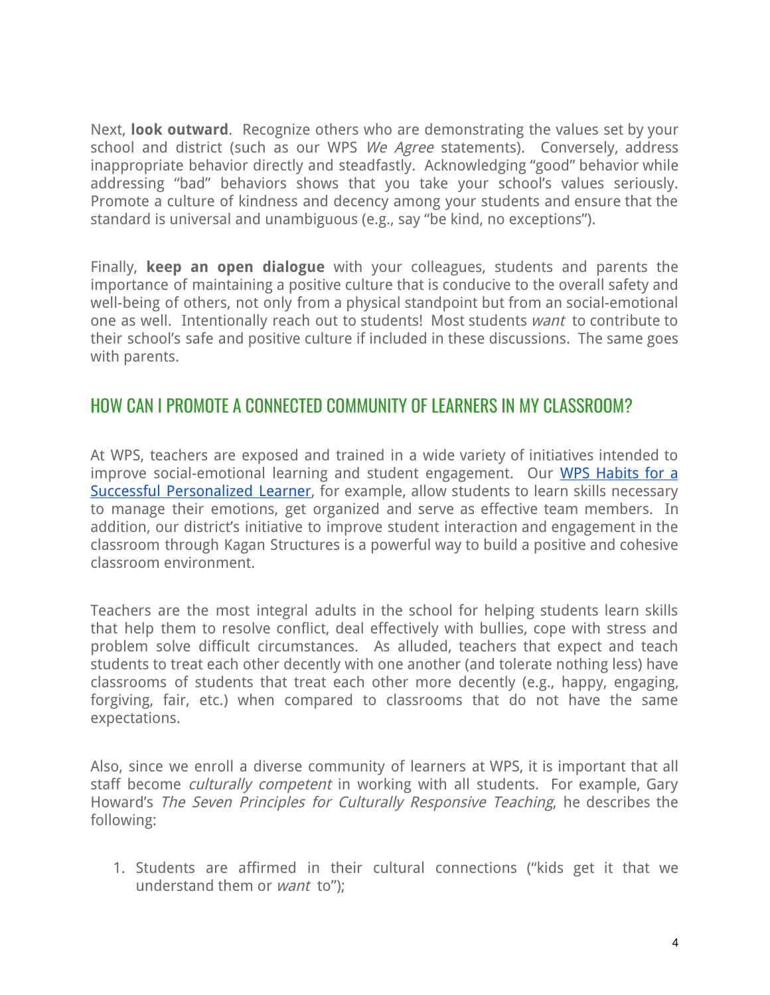Next, **look outward**. Recognize others who are demonstrating the values set by your school and district (such as our WPS We Agree statements). Conversely, address inappropriate behavior directly and steadfastly. Acknowledging "good" behavior while addressing "bad" behaviors shows that you take your school's values seriously. Promote a culture of kindness and decency among your students and ensure that the standard is universal and unambiguous (e.g., say "be kind, no exceptions").

Finally, **keep an open dialogue** with your colleagues, students and parents the importance of maintaining a positive culture that is conducive to the overall safety and well-being of others, not only from a physical standpoint but from an social-emotional one as well. Intentionally reach out to students! Most students want to contribute to their school's safe and positive culture if included in these discussions. The same goes with parents.

## HOW CAN I PROMOTE A CONNECTED COMMUNITY OF LEARNERS IN MY CLASSROOM?

At WPS, teachers are exposed and trained in a wide variety of initiatives intended to improve social-emotional learning and student engagement. Our WPS [Habits](http://wiki.westminsterpublicschools.org/mediawiki/index.php/SBS:Personal_v3) for a Successful [Personalized](http://wiki.westminsterpublicschools.org/mediawiki/index.php/SBS:Personal_v3) Learner, for example, allow students to learn skills necessary to manage their emotions, get organized and serve as effective team members. In addition, our district's initiative to improve student interaction and engagement in the classroom through Kagan Structures is a powerful way to build a positive and cohesive classroom environment.

Teachers are the most integral adults in the school for helping students learn skills that help them to resolve conflict, deal effectively with bullies, cope with stress and problem solve difficult circumstances. As alluded, teachers that expect and teach students to treat each other decently with one another (and tolerate nothing less) have classrooms of students that treat each other more decently (e.g., happy, engaging, forgiving, fair, etc.) when compared to classrooms that do not have the same expectations.

Also, since we enroll a diverse community of learners at WPS, it is important that all staff become *culturally competent* in working with all students. For example, Gary Howard's The Seven Principles for Culturally Responsive Teaching, he describes the following:

1. Students are affirmed in their cultural connections ("kids get it that we understand them or want to");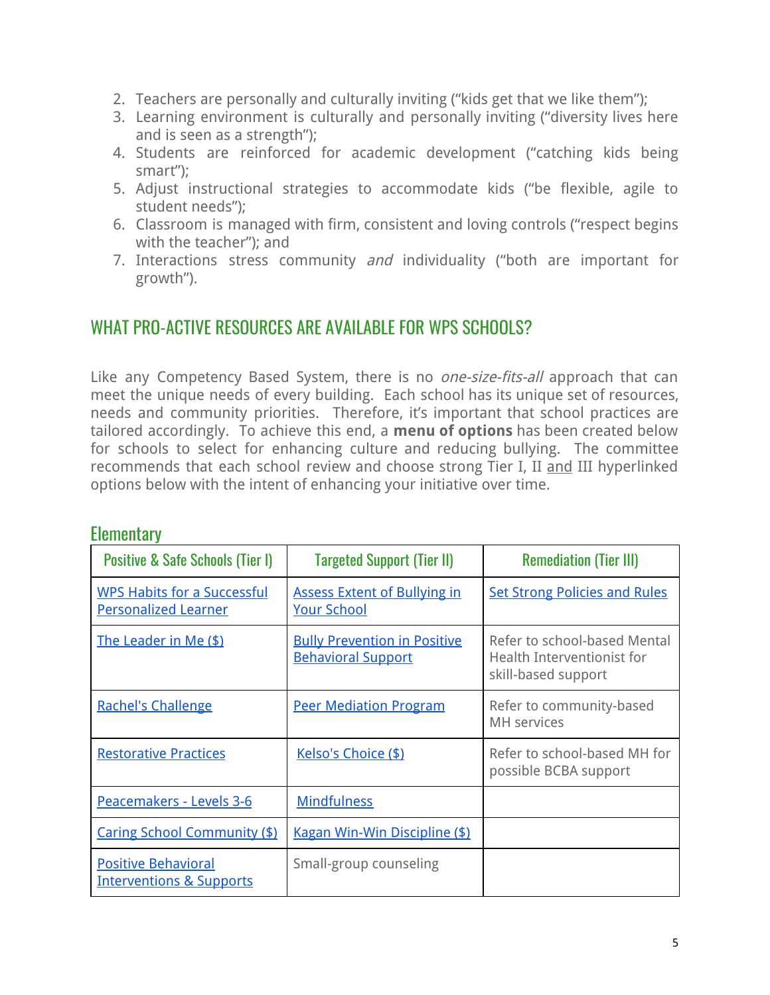- 2. Teachers are personally and culturally inviting ("kids get that we like them");
- 3. Learning environment is culturally and personally inviting ("diversity lives here and is seen as a strength");
- 4. Students are reinforced for academic development ("catching kids being smart");
- 5. Adjust instructional strategies to accommodate kids ("be flexible, agile to student needs");
- 6. Classroom is managed with firm, consistent and loving controls ("respect begins with the teacher"); and
- 7. Interactions stress community and individuality ("both are important for growth").

## WHAT PRO-ACTIVE RESOURCES ARE AVAILABLE FOR WPS SCHOOLS?

Like any Competency Based System, there is no *one-size-fits-all* approach that can meet the unique needs of every building. Each school has its unique set of resources, needs and community priorities. Therefore, it's important that school practices are tailored accordingly. To achieve this end, a **menu of options** has been created below for schools to select for enhancing culture and reducing bullying. The committee recommends that each school review and choose strong Tier I, II and III hyperlinked options below with the intent of enhancing your initiative over time.

| <b>Positive &amp; Safe Schools (Tier I)</b>                       | <b>Targeted Support (Tier II)</b>                                | <b>Remediation (Tier III)</b>                                                            |
|-------------------------------------------------------------------|------------------------------------------------------------------|------------------------------------------------------------------------------------------|
| <b>WPS Habits for a Successful</b><br><b>Personalized Learner</b> | <b>Assess Extent of Bullying in</b><br><b>Your School</b>        | <b>Set Strong Policies and Rules</b>                                                     |
| <u>The Leader in Me (\$)</u>                                      | <b>Bully Prevention in Positive</b><br><b>Behavioral Support</b> | Refer to school-based Mental<br><b>Health Interventionist for</b><br>skill-based support |
| Rachel's Challenge                                                | <b>Peer Mediation Program</b>                                    | Refer to community-based<br><b>MH</b> services                                           |
| <b>Restorative Practices</b>                                      | Kelso's Choice (\$)                                              | Refer to school-based MH for<br>possible BCBA support                                    |
| Peacemakers - Levels 3-6                                          | <b>Mindfulness</b>                                               |                                                                                          |
| Caring School Community (\$)                                      | Kagan Win-Win Discipline (\$)                                    |                                                                                          |
| <b>Positive Behavioral</b><br><b>Interventions &amp; Supports</b> | Small-group counseling                                           |                                                                                          |

#### **Elementary**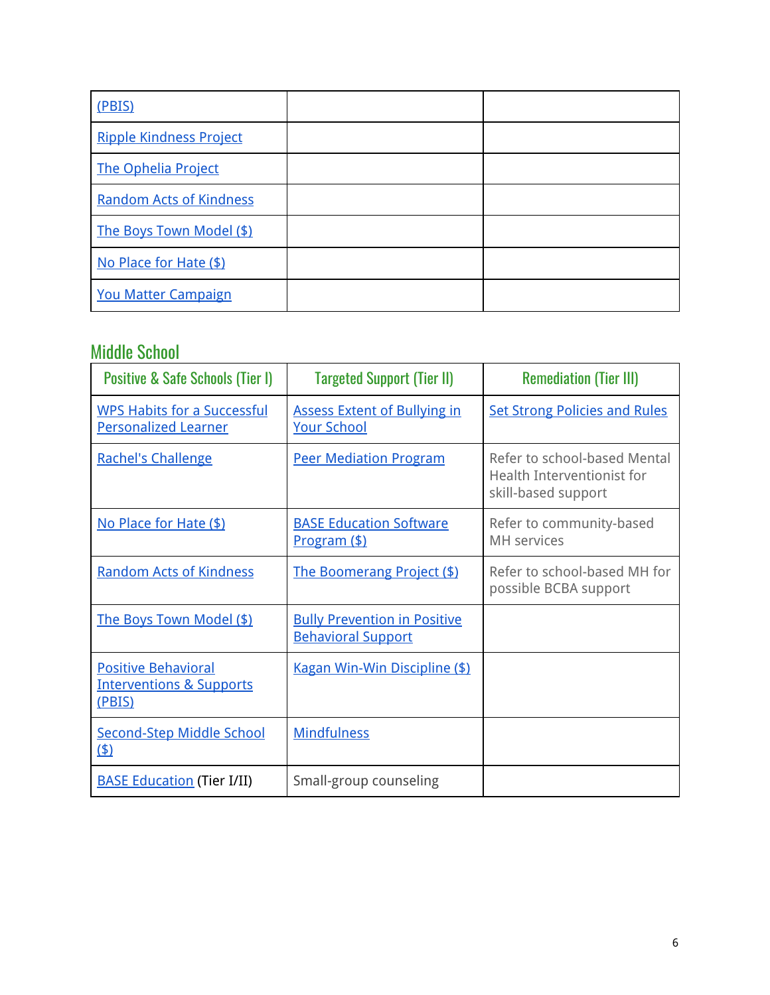| (PBIS)                         |  |
|--------------------------------|--|
| <b>Ripple Kindness Project</b> |  |
| <b>The Ophelia Project</b>     |  |
| <b>Random Acts of Kindness</b> |  |
| The Boys Town Model (\$)       |  |
| No Place for Hate (\$)         |  |
| <b>You Matter Campaign</b>     |  |

# Middle School

| <b>Positive &amp; Safe Schools (Tier I)</b>                                 | <b>Targeted Support (Tier II)</b>                                | <b>Remediation (Tier III)</b>                                                     |
|-----------------------------------------------------------------------------|------------------------------------------------------------------|-----------------------------------------------------------------------------------|
| <b>WPS Habits for a Successful</b><br><b>Personalized Learner</b>           | <b>Assess Extent of Bullying in</b><br><b>Your School</b>        | <b>Set Strong Policies and Rules</b>                                              |
| Rachel's Challenge                                                          | <b>Peer Mediation Program</b>                                    | Refer to school-based Mental<br>Health Interventionist for<br>skill-based support |
| No Place for Hate (\$)                                                      | <b>BASE Education Software</b><br><u>Program (\$)</u>            | Refer to community-based<br>MH services                                           |
| <b>Random Acts of Kindness</b>                                              | <u>The Boomerang Project (\$)</u>                                | Refer to school-based MH for<br>possible BCBA support                             |
| The Boys Town Model (\$)                                                    | <b>Bully Prevention in Positive</b><br><b>Behavioral Support</b> |                                                                                   |
| <b>Positive Behavioral</b><br><b>Interventions &amp; Supports</b><br>(PBIS) | Kagan Win-Win Discipline (\$)                                    |                                                                                   |
| <b>Second-Step Middle School</b><br>(4)                                     | <b>Mindfulness</b>                                               |                                                                                   |
| <b>BASE Education (Tier I/II)</b>                                           | Small-group counseling                                           |                                                                                   |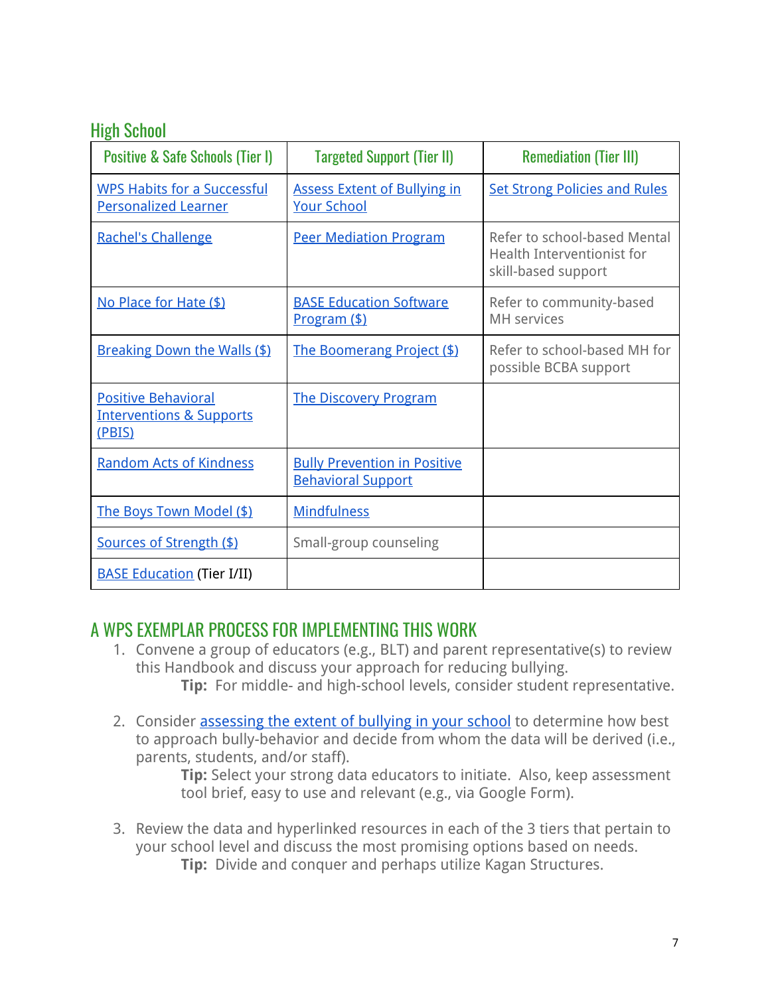#### High School

| <b>Positive &amp; Safe Schools (Tier I)</b>                                 | <b>Targeted Support (Tier II)</b>                                | <b>Remediation (Tier III)</b>                                                            |
|-----------------------------------------------------------------------------|------------------------------------------------------------------|------------------------------------------------------------------------------------------|
| <b>WPS Habits for a Successful</b><br><b>Personalized Learner</b>           | <b>Assess Extent of Bullying in</b><br><b>Your School</b>        | <b>Set Strong Policies and Rules</b>                                                     |
| Rachel's Challenge                                                          | <b>Peer Mediation Program</b>                                    | Refer to school-based Mental<br><b>Health Interventionist for</b><br>skill-based support |
| No Place for Hate (\$)                                                      | <b>BASE Education Software</b><br>Program (\$)                   | Refer to community-based<br><b>MH</b> services                                           |
| <b>Breaking Down the Walls (\$)</b>                                         | <u>The Boomerang Project (\$)</u>                                | Refer to school-based MH for<br>possible BCBA support                                    |
| <b>Positive Behavioral</b><br><b>Interventions &amp; Supports</b><br>(PBIS) | <b>The Discovery Program</b>                                     |                                                                                          |
| <b>Random Acts of Kindness</b>                                              | <b>Bully Prevention in Positive</b><br><b>Behavioral Support</b> |                                                                                          |
| The Boys Town Model (\$)                                                    | <b>Mindfulness</b>                                               |                                                                                          |
| Sources of Strength (\$)                                                    | Small-group counseling                                           |                                                                                          |
| <b>BASE Education (Tier I/II)</b>                                           |                                                                  |                                                                                          |

## A WPS EXEMPLAR PROCESS FOR IMPLEMENTING THIS WORK

- 1. Convene a group of educators (e.g., BLT) and parent representative(s) to review this Handbook and discuss your approach for reducing bullying. **Tip:** For middle- and high-school levels, consider student representative.
- 2. Consider [assessing the extent of bullying in your school](https://www.stopbullying.gov/prevention/at-school/assess-bullying/index.html) to determine how best to approach bully-behavior and decide from whom the data will be derived (i.e., parents, students, and/or staff).

**Tip:** Select your strong data educators to initiate. Also, keep assessment tool brief, easy to use and relevant (e.g., via Google Form).

3. Review the data and hyperlinked resources in each of the 3 tiers that pertain to your school level and discuss the most promising options based on needs. **Tip:** Divide and conquer and perhaps utilize Kagan Structures.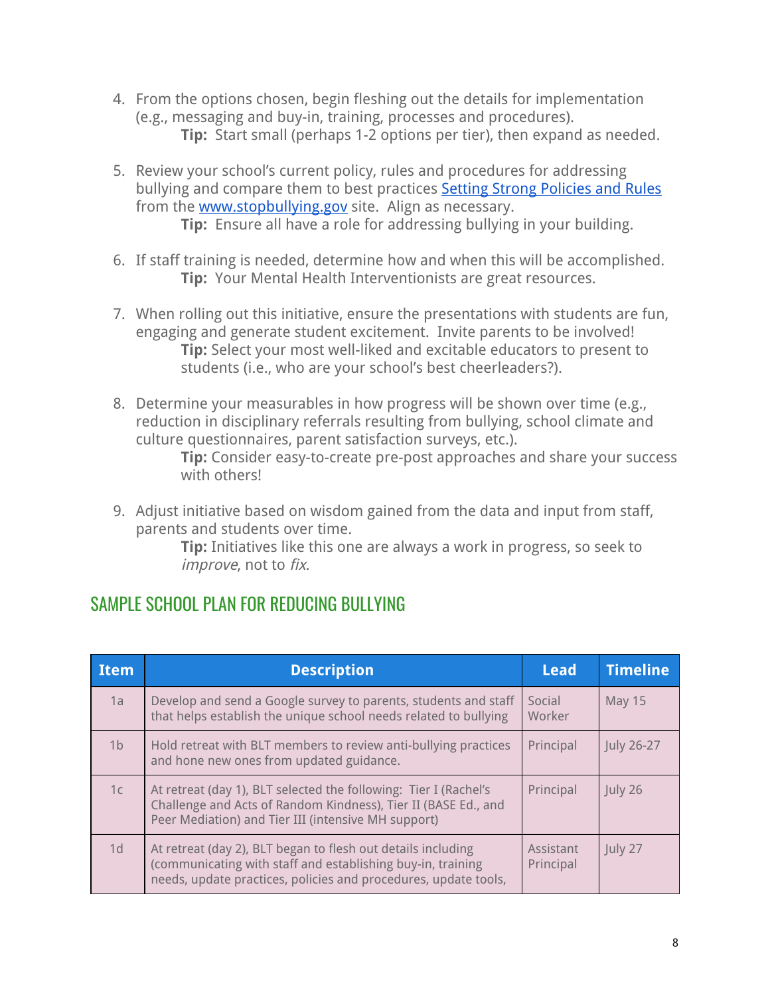- 4. From the options chosen, begin fleshing out the details for implementation (e.g., messaging and buy-in, training, processes and procedures). **Tip:** Start small (perhaps 1-2 options per tier), then expand as needed.
- 5. Review your school's current policy, rules and procedures for addressing bullying and compare them to best practices [Setting Strong Policies and Rules](https://www.stopbullying.gov/prevention/at-school/rules/index.html) from the [www.stopbullying.gov](http://www.stopbullying.gov/) site. Align as necessary. **Tip:** Ensure all have a role for addressing bullying in your building.
- 6. If staff training is needed, determine how and when this will be accomplished. **Tip:** Your Mental Health Interventionists are great resources.
- 7. When rolling out this initiative, ensure the presentations with students are fun, engaging and generate student excitement. Invite parents to be involved! **Tip:** Select your most well-liked and excitable educators to present to students (i.e., who are your school's best cheerleaders?).
- 8. Determine your measurables in how progress will be shown over time (e.g., reduction in disciplinary referrals resulting from bullying, school climate and culture questionnaires, parent satisfaction surveys, etc.).

**Tip:** Consider easy-to-create pre-post approaches and share your success with others!

9. Adjust initiative based on wisdom gained from the data and input from staff, parents and students over time.

**Tip:** Initiatives like this one are always a work in progress, so seek to improve, not to fix.

# SAMPLE SCHOOL PLAN FOR REDUCING BULLYING

| Item           | <b>Description</b>                                                                                                                                                                             | <b>Lead</b>            | <b>Timeline</b> |
|----------------|------------------------------------------------------------------------------------------------------------------------------------------------------------------------------------------------|------------------------|-----------------|
| 1a             | Develop and send a Google survey to parents, students and staff<br>that helps establish the unique school needs related to bullying                                                            | Social<br>Worker       | <b>May 15</b>   |
| 1 <sub>b</sub> | Hold retreat with BLT members to review anti-bullying practices<br>and hone new ones from updated guidance.                                                                                    | Principal              | July 26-27      |
| 1 <sub>c</sub> | At retreat (day 1), BLT selected the following: Tier I (Rachel's<br>Challenge and Acts of Random Kindness), Tier II (BASE Ed., and<br>Peer Mediation) and Tier III (intensive MH support)      | Principal              | July 26         |
| 1 <sub>d</sub> | At retreat (day 2), BLT began to flesh out details including<br>(communicating with staff and establishing buy-in, training<br>needs, update practices, policies and procedures, update tools, | Assistant<br>Principal | July 27         |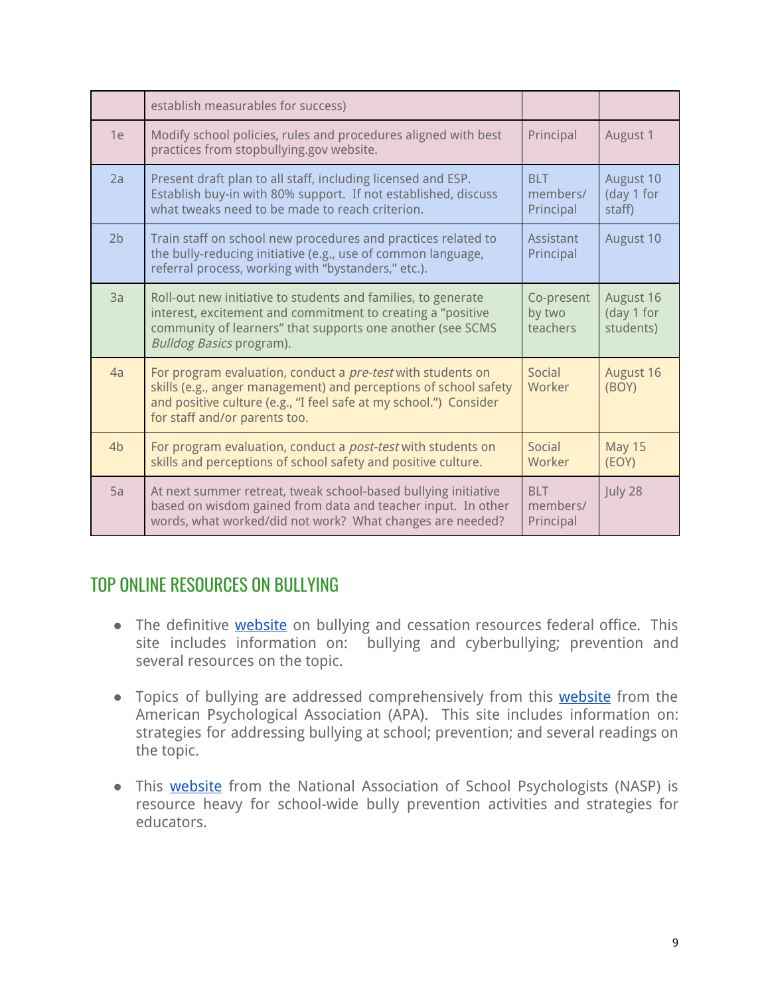|                | establish measurables for success)                                                                                                                                                                                                           |                                     |                                      |
|----------------|----------------------------------------------------------------------------------------------------------------------------------------------------------------------------------------------------------------------------------------------|-------------------------------------|--------------------------------------|
| 1e             | Modify school policies, rules and procedures aligned with best<br>practices from stopbullying.gov website.                                                                                                                                   | Principal                           | August 1                             |
| 2a             | Present draft plan to all staff, including licensed and ESP.<br>Establish buy-in with 80% support. If not established, discuss<br>what tweaks need to be made to reach criterion.                                                            | <b>BLT</b><br>members/<br>Principal | August 10<br>(day 1 for<br>staff)    |
| 2 <sub>b</sub> | Train staff on school new procedures and practices related to<br>the bully-reducing initiative (e.g., use of common language,<br>referral process, working with "bystanders," etc.).                                                         | Assistant<br>Principal              | August 10                            |
| 3a             | Roll-out new initiative to students and families, to generate<br>interest, excitement and commitment to creating a "positive<br>community of learners" that supports one another (see SCMS<br><b>Bulldog Basics program).</b>                | Co-present<br>by two<br>teachers    | August 16<br>(day 1 for<br>students) |
| 4a             | For program evaluation, conduct a <i>pre-test</i> with students on<br>skills (e.g., anger management) and perceptions of school safety<br>and positive culture (e.g., "I feel safe at my school.") Consider<br>for staff and/or parents too. | Social<br>Worker                    | August 16<br>(BOY)                   |
| 4 <sub>b</sub> | For program evaluation, conduct a <i>post-test</i> with students on<br>skills and perceptions of school safety and positive culture.                                                                                                         | Social<br>Worker                    | <b>May 15</b><br>(EOY)               |
| 5a             | At next summer retreat, tweak school-based bullying initiative<br>based on wisdom gained from data and teacher input. In other<br>words, what worked/did not work? What changes are needed?                                                  | <b>BLT</b><br>members/<br>Principal | July 28                              |

## TOP ONLINE RESOURCES ON BULLYING

- The definitive **[website](http://www.stopbullying.gov/)** on bullying and cessation resources federal office. This site includes information on: bullying and cyberbullying; prevention and several resources on the topic.
- Topics of bullying are addressed comprehensively from this [website](http://www.apa.org/topics/bullying/) from the American Psychological Association (APA). This site includes information on: strategies for addressing bullying at school; prevention; and several readings on the topic.
- This [website](https://www.nasponline.org/resources-and-publications/resources/school-safety-and-crisis/bullying-prevention) from the National Association of School Psychologists (NASP) is resource heavy for school-wide bully prevention activities and strategies for educators.